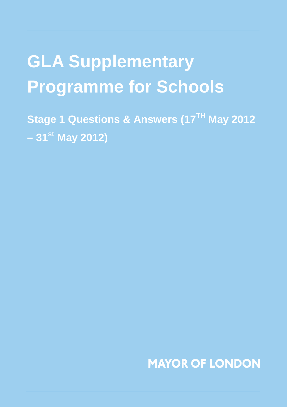# **GLA Supplementary Programme for Schools**

**Stage 1 Questions & Answers (17TH May 2012 – 31st May 2012)**

**MAYOR OF LONDON**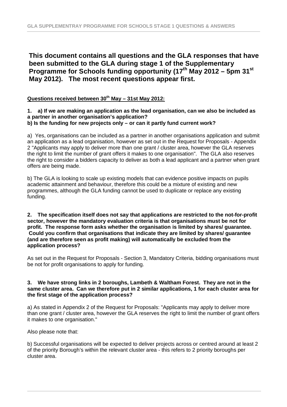## **This document contains all questions and the GLA responses that have been submitted to the GLA during stage 1 of the Supplementary Programme for Schools funding opportunity (17th May 2012 – 5pm 31st May 2012). The most recent questions appear first.**

### **Questions received between 30th May – 31st May 2012:**

#### **1. a) If we are making an application as the lead organisation, can we also be included as a partner in another organisation's application? b) Is the funding for new projects only – or can it partly fund current work?**

a) Yes, organisations can be included as a partner in another organisations application and submit an application as a lead organisation, however as set out in the Request for Proposals - Appendix 2 "Applicants may apply to deliver more than one grant / cluster area, however the GLA reserves the right to limit the number of grant offers it makes to one organisation". The GLA also reserves the right to consider a bidders capacity to deliver as both a lead applicant and a partner when grant offers are being made.

b) The GLA is looking to scale up existing models that can evidence positive impacts on pupils academic attainment and behaviour, therefore this could be a mixture of existing and new programmes, although the GLA funding cannot be used to duplicate or replace any existing funding.

#### **2. The specification itself does not say that applications are restricted to the not-for-profit sector, however the mandatory evaluation criteria is that organisations must be not for profit. The response form asks whether the organisation is limited by shares/ guarantee. Could you confirm that organisations that indicate they are limited by shares/ guarantee (and are therefore seen as profit making) will automatically be excluded from the application process?**

As set out in the Request for Proposals - Section 3, Mandatory Criteria, bidding organisations must be not for profit organisations to apply for funding.

#### **3. We have strong links in 2 boroughs, Lambeth & Waltham Forest. They are not in the same cluster area. Can we therefore put in 2 similar applications, 1 for each cluster area for the first stage of the application process?**

a) As stated in Appendix 2 of the Request for Proposals: "Applicants may apply to deliver more than one grant / cluster area, however the GLA reserves the right to limit the number of grant offers it makes to one organisation."

Also please note that:

b) Successful organisations will be expected to deliver projects across or centred around at least 2 of the priority Borough's within the relevant cluster area - this refers to 2 priority boroughs per cluster area.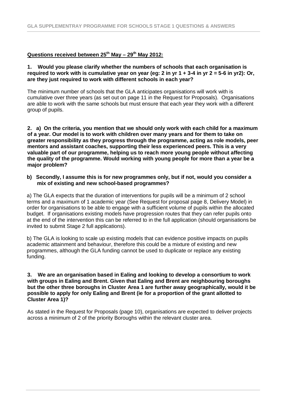#### **Questions received between 25 th May – 29 th May 2012:**

#### **1. Would you please clarify whether the numbers of schools that each organisation is required to work with is cumulative year on year (eg: 2 in yr 1 + 3-4 in yr 2 = 5-6 in yr2): Or, are they just required to work with different schools in each year?**

The minimum number of schools that the GLA anticipates organisations will work with is cumulative over three years (as set out on page 11 in the Request for Proposals). Organisations are able to work with the same schools but must ensure that each year they work with a different group of pupils.

**2. a) On the criteria, you mention that we should only work with each child for a maximum of a year. Our model is to work with children over many years and for them to take on greater responsibility as they progress through the programme, acting as role models, peer mentors and assistant coaches, supporting their less experienced peers. This is a very valuable part of our programme, helping us to reach more young people without affecting the quality of the programme. Would working with young people for more than a year be a major problem?** 

#### **b) Secondly, I assume this is for new programmes only, but if not, would you consider a mix of existing and new school-based programmes?**

a) The GLA expects that the duration of interventions for pupils will be a minimum of 2 school terms and a maximum of 1 academic year (See Request for proposal page 8, Delivery Model) in order for organisations to be able to engage with a sufficient volume of pupils within the allocated budget. If organisations existing models have progression routes that they can refer pupils onto at the end of the intervention this can be referred to in the full application (should organisations be invited to submit Stage 2 full applications).

b) The GLA is looking to scale up existing models that can evidence positive impacts on pupils academic attainment and behaviour, therefore this could be a mixture of existing and new programmes, although the GLA funding cannot be used to duplicate or replace any existing funding.

#### **3. We are an organisation based in Ealing and looking to develop a consortium to work with groups in Ealing and Brent. Given that Ealing and Brent are neighbouring boroughs but the other three boroughs in Cluster Area 1 are further away geographically, would it be possible to apply for only Ealing and Brent (ie for a proportion of the grant allotted to Cluster Area 1)?**

As stated in the Request for Proposals (page 10), organisations are expected to deliver projects across a minimum of 2 of the priority Boroughs within the relevant cluster area.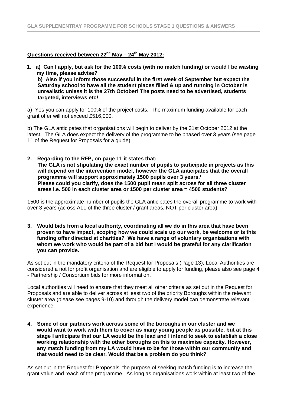#### **Questions received between 22nd May – 24th May 2012:**

**1. a) Can I apply, but ask for the 100% costs (with no match funding) or would I be wasting my time, please advise?** 

**b) Also if you inform those successful in the first week of September but expect the Saturday school to have all the student places filled & up and running in October is unrealistic unless it is the 27th October! The posts need to be advertised, students targeted, interviews etc!**

a) Yes you can apply for 100% of the project costs. The maximum funding available for each grant offer will not exceed £516,000.

b) The GLA anticipates that organisations will begin to deliver by the 31st October 2012 at the latest. The GLA does expect the delivery of the programme to be phased over 3 years (see page 11 of the Request for Proposals for a guide).

**2. Regarding to the RFP, on page 11 it states that: The GLA is not stipulating the exact number of pupils to participate in projects as this will depend on the intervention model, however the GLA anticipates that the overall programme will support approximately 1500 pupils over 3 years.' Please could you clarify, does the 1500 pupil mean split across for all three cluster areas i.e. 500 in each cluster area or 1500 per cluster area = 4500 students?**

1500 is the approximate number of pupils the GLA anticipates the overall programme to work with over 3 years (across ALL of the three cluster / grant areas, NOT per cluster area).

**3. Would bids from a local authority, coordinating all we do in this area that have been proven to have impact, scoping how we could scale up our work, be welcome or is this funding offer directed at charities? We have a range of voluntary organisations with whom we work who would be part of a bid but I would be grateful for any clarification you can provide.**

As set out in the mandatory criteria of the Request for Proposals (Page 13), Local Authorities are considered a not for profit organisation and are eligible to apply for funding, please also see page 4 - Partnership / Consortium bids for more information.

Local authorities will need to ensure that they meet all other criteria as set out in the Request for Proposals and are able to deliver across at least two of the priority Boroughs within the relevant cluster area (please see pages 9-10) and through the delivery model can demonstrate relevant experience.

**4. Some of our partners work across some of the boroughs in our cluster and we would want to work with them to cover as many young people as possible, but at this stage I anticipate that our LA would be the lead and I intend to seek to establish a close working relationship with the other boroughs on this to maximise capacity. However, any match funding from my LA would have to be for those within our community and that would need to be clear. Would that be a problem do you think?**

As set out in the Request for Proposals, the purpose of seeking match funding is to increase the grant value and reach of the programme. As long as organisations work within at least two of the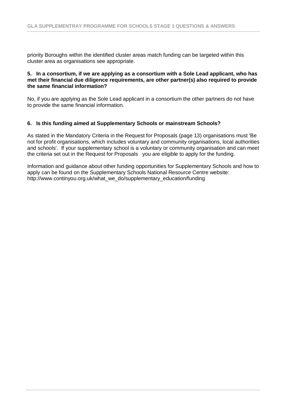priority Boroughs within the identified cluster areas match funding can be targeted within this cluster area as organisations see appropriate.

#### **5. In a consortium, if we are applying as a consortium with a Sole Lead applicant, who has met their financial due diligence requirements, are other partner(s) also required to provide the same financial information?**

No, if you are applying as the Sole Lead applicant in a consortium the other partners do not have to provide the same financial information.

#### **6. Is this funding aimed at Supplementary Schools or mainstream Schools?**

As stated in the Mandatory Criteria in the Request for Proposals (page 13) organisations must 'Be not for profit organisations, which includes voluntary and community organisations, local authorities and schools'. If your supplementary school is a voluntary or community organisation and can meet the criteria set out in the Request for Proposals you are eligible to apply for the funding.

Information and guidance about other funding opportunities for Supplementary Schools and how to apply can be found on the Supplementary Schools National Resource Centre website: http://www.continyou.org.uk/what\_we\_do/supplementary\_education/funding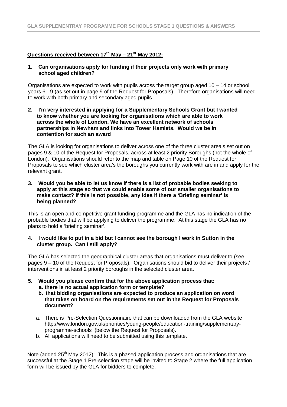#### **Questions received between 17th May – 21st May 2012:**

#### **1. Can organisations apply for funding if their projects only work with primary school aged children?**

Organisations are expected to work with pupils across the target group aged 10 – 14 or school years 6 - 9 (as set out in page 9 of the Request for Proposals). Therefore organisations will need to work with both primary and secondary aged pupils.

**2. I'm very interested in applying for a Supplementary Schools Grant but I wanted to know whether you are looking for organisations which are able to work across the whole of London. We have an excellent network of schools partnerships in Newham and links into Tower Hamlets. Would we be in contention for such an award**

The GLA is looking for organisations to deliver across one of the three cluster area's set out on pages 9 & 10 of the Request for Proposals, across at least 2 priority Boroughs (not the whole of London). Organisations should refer to the map and table on Page 10 of the Request for Proposals to see which cluster area's the boroughs you currently work with are in and apply for the relevant grant.

**3. Would you be able to let us know if there is a list of probable bodies seeking to apply at this stage so that we could enable some of our smaller organisations to make contact? If this is not possible, any idea if there a 'Briefing seminar' is being planned?**

This is an open and competitive grant funding programme and the GLA has no indication of the probable bodies that will be applying to deliver the programme. At this stage the GLA has no plans to hold a 'briefing seminar'.

#### **4. I would like to put in a bid but I cannot see the borough I work in Sutton in the cluster group. Can I still apply?**

The GLA has selected the geographical cluster areas that organisations must deliver to (see pages 9 – 10 of the Request for Proposals). Organisations should bid to deliver their projects / interventions in at least 2 priority boroughs in the selected cluster area.

- **5. Would you please confirm that for the above application process that: a. there is no actual application form or template?**
	- **b. that bidding organisations are expected to produce an application on word that takes on board on the requirements set out in the Request for Proposals document?**
	- a. There is Pre-Selection Questionnaire that can be downloaded from the GLA website http://www.london.gov.uk/priorities/young-people/education-training/supplementaryprogramme-schools (below the Request for Proposals).
	- b. All applications will need to be submitted using this template.

Note (added 25<sup>th</sup> May 2012): This is a phased application process and organisations that are successful at the Stage 1 Pre-selection stage will be invited to Stage 2 where the full application form will be issued by the GLA for bidders to complete.